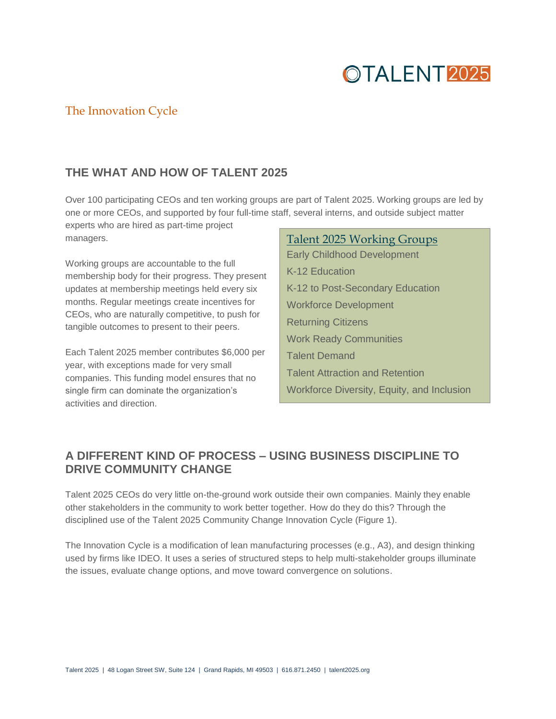## OTALENT<sub>2025</sub>

## The Innovation Cycle

### **THE WHAT AND HOW OF TALENT 2025**

Over 100 participating CEOs and ten working groups are part of Talent 2025. Working groups are led by one or more CEOs, and supported by four full-time staff, several interns, and outside subject matter

experts who are hired as part-time project managers.

Working groups are accountable to the full membership body for their progress. They present updates at membership meetings held every six months. Regular meetings create incentives for CEOs, who are naturally competitive, to push for tangible outcomes to present to their peers.

Each Talent 2025 member contributes \$6,000 per year, with exceptions made for very small companies. This funding model ensures that no single firm can dominate the organization's activities and direction.

#### Talent 2025 Working Groups

Early Childhood Development K-12 Education K-12 to Post-Secondary Education Workforce Development Returning Citizens Work Ready Communities Talent Demand Talent Attraction and Retention Workforce Diversity, Equity, and Inclusion

## **A DIFFERENT KIND OF PROCESS – USING BUSINESS DISCIPLINE TO DRIVE COMMUNITY CHANGE**

Talent 2025 CEOs do very little on-the-ground work outside their own companies. Mainly they enable other stakeholders in the community to work better together. How do they do this? Through the disciplined use of the Talent 2025 Community Change Innovation Cycle (Figure 1).

The Innovation Cycle is a modification of lean manufacturing processes (e.g., A3), and design thinking used by firms like IDEO. It uses a series of structured steps to help multi-stakeholder groups illuminate the issues, evaluate change options, and move toward convergence on solutions.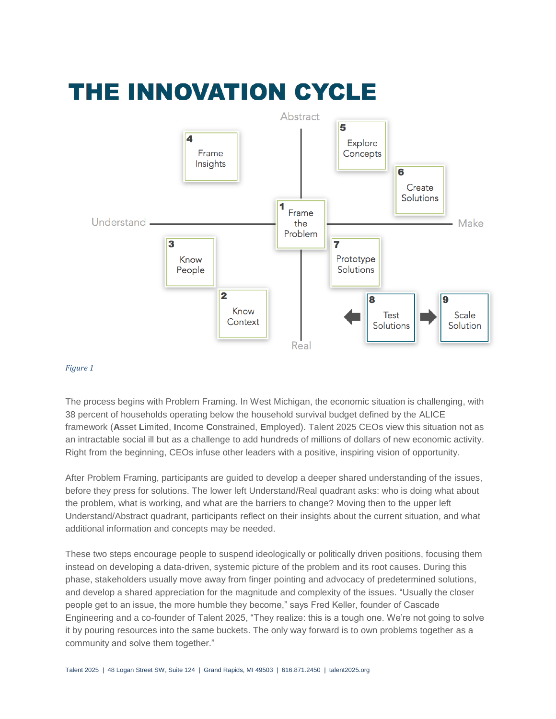# THE INNOVATION CYCLE



#### *Figure 1*

The process begins with Problem Framing. In West Michigan, the economic situation is challenging, with 38 percent of households operating below the household survival budget defined by the [ALICE](http://www.unitedwayalice.org/) framework (**A**sset **L**imited, **I**ncome **C**onstrained, **E**mployed). Talent 2025 CEOs view this situation not as an intractable social ill but as a challenge to add hundreds of millions of dollars of new economic activity. Right from the beginning, CEOs infuse other leaders with a positive, inspiring vision of opportunity.

After Problem Framing, participants are guided to develop a deeper shared understanding of the issues, before they press for solutions. The lower left Understand/Real quadrant asks: who is doing what about the problem, what is working, and what are the barriers to change? Moving then to the upper left Understand/Abstract quadrant, participants reflect on their insights about the current situation, and what additional information and concepts may be needed.

These two steps encourage people to suspend ideologically or politically driven positions, focusing them instead on developing a data-driven, systemic picture of the problem and its root causes. During this phase, stakeholders usually move away from finger pointing and advocacy of predetermined solutions, and develop a shared appreciation for the magnitude and complexity of the issues. "Usually the closer people get to an issue, the more humble they become," says Fred Keller, founder of Cascade Engineering and a co-founder of Talent 2025, "They realize: this is a tough one. We're not going to solve it by pouring resources into the same buckets. The only way forward is to own problems together as a community and solve them together."